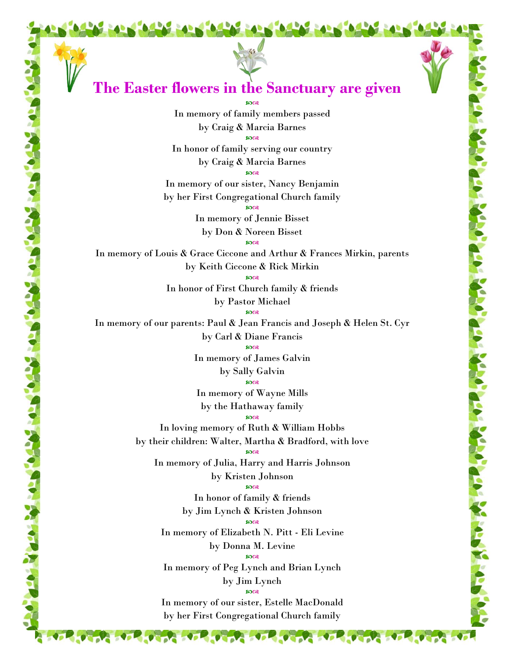

of the south of the south of the south of the south of the south of the south of the south of